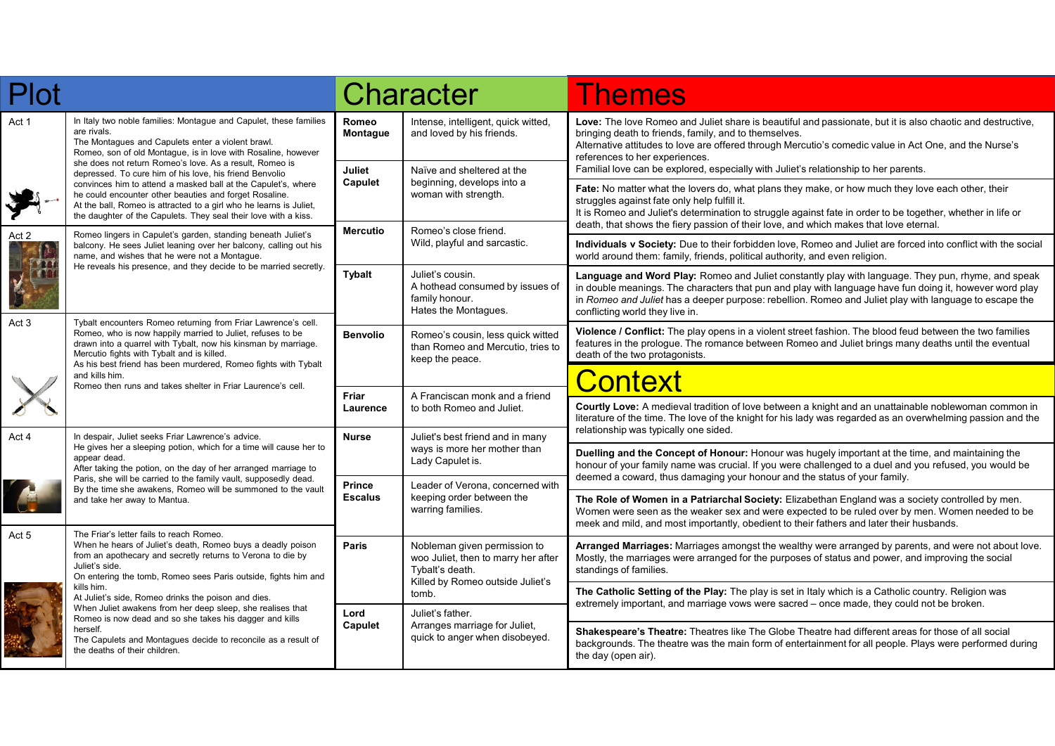| <b>Plot</b> |                                                                                                                                                                                                                                                                                                                                                                                                |                                 | Character                                                                                     |                                                                                                                                                                                                                                                                                                                                                            |  |
|-------------|------------------------------------------------------------------------------------------------------------------------------------------------------------------------------------------------------------------------------------------------------------------------------------------------------------------------------------------------------------------------------------------------|---------------------------------|-----------------------------------------------------------------------------------------------|------------------------------------------------------------------------------------------------------------------------------------------------------------------------------------------------------------------------------------------------------------------------------------------------------------------------------------------------------------|--|
|             |                                                                                                                                                                                                                                                                                                                                                                                                |                                 |                                                                                               | <b>Themes</b>                                                                                                                                                                                                                                                                                                                                              |  |
| Act 1       | In Italy two noble families: Montague and Capulet, these families<br>are rivals.<br>The Montagues and Capulets enter a violent brawl.<br>Romeo, son of old Montague, is in love with Rosaline, however<br>she does not return Romeo's love. As a result, Romeo is                                                                                                                              |                                 | Intense, intelligent, quick witted,<br>and loved by his friends.                              | Love: The love Romeo and Juliet share is beautiful and passionate, but it is also chaotic and destructive,<br>bringing death to friends, family, and to themselves.<br>Alternative attitudes to love are offered through Mercutio's comedic value in Act One, and the Nurse's<br>references to her experiences.                                            |  |
| Y.          | depressed. To cure him of his love, his friend Benvolio<br>convinces him to attend a masked ball at the Capulet's, where<br>he could encounter other beauties and forget Rosaline.<br>At the ball, Romeo is attracted to a girl who he learns is Juliet,<br>the daughter of the Capulets. They seal their love with a kiss.                                                                    | Juliet<br>Capulet               | Naïve and sheltered at the<br>beginning, develops into a<br>woman with strength.              | Familial love can be explored, especially with Juliet's relationship to her parents.<br>Fate: No matter what the lovers do, what plans they make, or how much they love each other, their<br>struggles against fate only help fulfill it.<br>It is Romeo and Juliet's determination to struggle against fate in order to be together, whether in life or   |  |
| Act 2       | Romeo lingers in Capulet's garden, standing beneath Juliet's<br>balcony. He sees Juliet leaning over her balcony, calling out his<br>name, and wishes that he were not a Montaque.                                                                                                                                                                                                             | <b>Mercutio</b>                 | Romeo's close friend.<br>Wild, playful and sarcastic.                                         | death, that shows the fiery passion of their love, and which makes that love eternal.<br>Individuals v Society: Due to their forbidden love, Romeo and Juliet are forced into conflict with the social<br>world around them: family, friends, political authority, and even religion.                                                                      |  |
|             | He reveals his presence, and they decide to be married secretly.                                                                                                                                                                                                                                                                                                                               | Tybalt                          | Juliet's cousin.<br>A hothead consumed by issues of<br>family honour.<br>Hates the Montagues. | Language and Word Play: Romeo and Juliet constantly play with language. They pun, rhyme, and speak<br>in double meanings. The characters that pun and play with language have fun doing it, however word play<br>in Romeo and Juliet has a deeper purpose: rebellion. Romeo and Juliet play with language to escape the<br>conflicting world they live in. |  |
| Act 3       | Tybalt encounters Romeo returning from Friar Lawrence's cell.<br>Romeo, who is now happily married to Juliet, refuses to be<br>drawn into a quarrel with Tybalt, now his kinsman by marriage.<br>Mercutio fights with Tybalt and is killed.<br>As his best friend has been murdered, Romeo fights with Tybalt<br>and kills him.<br>Romeo then runs and takes shelter in Friar Laurence's cell. | <b>Benvolio</b>                 | Romeo's cousin, less quick witted<br>than Romeo and Mercutio, tries to<br>keep the peace.     | Violence / Conflict: The play opens in a violent street fashion. The blood feud between the two families<br>features in the prologue. The romance between Romeo and Juliet brings many deaths until the eventual<br>death of the two protagonists.                                                                                                         |  |
|             |                                                                                                                                                                                                                                                                                                                                                                                                |                                 |                                                                                               | <b>Context</b>                                                                                                                                                                                                                                                                                                                                             |  |
|             |                                                                                                                                                                                                                                                                                                                                                                                                | Friar<br>Laurence               | A Franciscan monk and a friend<br>to both Romeo and Juliet.                                   | Courtly Love: A medieval tradition of love between a knight and an unattainable noblewoman common in<br>literature of the time. The love of the knight for his lady was regarded as an overwhelming passion and the<br>relationship was typically one sided.                                                                                               |  |
| Act 4       | In despair, Juliet seeks Friar Lawrence's advice.<br>He gives her a sleeping potion, which for a time will cause her to<br>appear dead.<br>After taking the potion, on the day of her arranged marriage to<br>Paris, she will be carried to the family vault, supposedly dead.<br>By the time she awakens, Romeo will be summoned to the vault<br>and take her away to Mantua.                 | <b>Nurse</b>                    | Juliet's best friend and in many<br>ways is more her mother than<br>Lady Capulet is.          | Duelling and the Concept of Honour: Honour was hugely important at the time, and maintaining the<br>honour of your family name was crucial. If you were challenged to a duel and you refused, you would be<br>deemed a coward, thus damaging your honour and the status of your family.                                                                    |  |
|             |                                                                                                                                                                                                                                                                                                                                                                                                | <b>Prince</b><br><b>Escalus</b> | Leader of Verona, concerned with<br>keeping order between the<br>warring families.            | The Role of Women in a Patriarchal Society: Elizabethan England was a society controlled by men.<br>Women were seen as the weaker sex and were expected to be ruled over by men. Women needed to be<br>meek and mild, and most importantly, obedient to their fathers and later their husbands.                                                            |  |
| Act 5       | The Friar's letter fails to reach Romeo.<br>When he hears of Juliet's death, Romeo buys a deadly poison<br>from an apothecary and secretly returns to Verona to die by<br>Juliet's side.                                                                                                                                                                                                       | Paris                           | Nobleman given permission to<br>woo Juliet, then to marry her after<br>Tybalt's death.        | Arranged Marriages: Marriages amongst the wealthy were arranged by parents, and were not about love.<br>Mostly, the marriages were arranged for the purposes of status and power, and improving the social<br>standings of families.                                                                                                                       |  |
|             | On entering the tomb, Romeo sees Paris outside, fights him and<br>kills him<br>At Juliet's side, Romeo drinks the poison and dies.<br>When Juliet awakens from her deep sleep, she realises that<br>Romeo is now dead and so she takes his dagger and kills<br>herself.<br>The Capulets and Montagues decide to reconcile as a result of<br>the deaths of their children.                      | Lord                            | Killed by Romeo outside Juliet's<br>tomb.<br>Juliet's father.                                 | The Catholic Setting of the Play: The play is set in Italy which is a Catholic country. Religion was<br>extremely important, and marriage vows were sacred - once made, they could not be broken.                                                                                                                                                          |  |
|             |                                                                                                                                                                                                                                                                                                                                                                                                | Capulet                         | Arranges marriage for Juliet,<br>quick to anger when disobeyed.                               | Shakespeare's Theatre: Theatres like The Globe Theatre had different areas for those of all social<br>backgrounds. The theatre was the main form of entertainment for all people. Plays were performed during<br>the day (open air).                                                                                                                       |  |